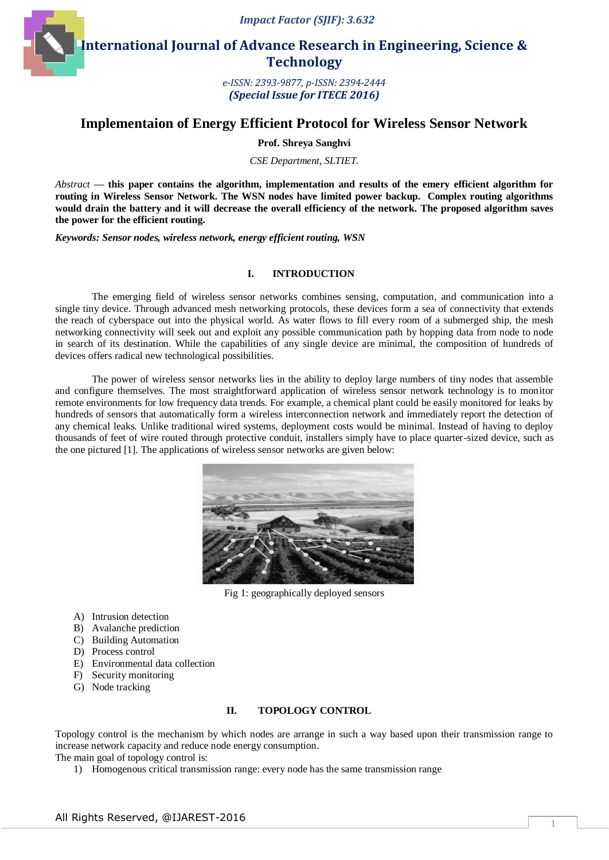*Impact Factor (SJIF): 3.632*



**International Journal of Advance Research in Engineering, Science & Technology** 

> *e-ISSN: 2393-9877, p-ISSN: 2394-2444 (Special Issue for ITECE 2016)*

# **Implementaion of Energy Efficient Protocol for Wireless Sensor Network**

**Prof. Shreya Sanghvi**

*CSE Department, SLTIET.*

*Abstract* **— this paper contains the algorithm, implementation and results of the emery efficient algorithm for routing in Wireless Sensor Network. The WSN nodes have limited power backup. Complex routing algorithms would drain the battery and it will decrease the overall efficiency of the network. The proposed algorithm saves the power for the efficient routing.** 

*Keywords: Sensor nodes, wireless network, energy efficient routing, WSN*

## **I. INTRODUCTION**

The emerging field of wireless sensor networks combines sensing, computation, and communication into a single tiny device. Through advanced mesh networking protocols, these devices form a sea of connectivity that extends the reach of cyberspace out into the physical world. As water flows to fill every room of a submerged ship, the mesh networking connectivity will seek out and exploit any possible communication path by hopping data from node to node in search of its destination. While the capabilities of any single device are minimal, the composition of hundreds of devices offers radical new technological possibilities.

The power of wireless sensor networks lies in the ability to deploy large numbers of tiny nodes that assemble and configure themselves. The most straightforward application of wireless sensor network technology is to monitor remote environments for low frequency data trends. For example, a chemical plant could be easily monitored for leaks by hundreds of sensors that automatically form a wireless interconnection network and immediately report the detection of any chemical leaks. Unlike traditional wired systems, deployment costs would be minimal. Instead of having to deploy thousands of feet of wire routed through protective conduit, installers simply have to place quarter-sized device, such as the one pictured [1]. The applications of wireless sensor networks are given below:



Fig 1: geographically deployed sensors

- A) Intrusion detection
- B) Avalanche prediction
- C) Building Automation
- D) Process control
- E) Environmental data collection
- F) Security monitoring
- G) Node tracking

## **II. TOPOLOGY CONTROL**

Topology control is the mechanism by which nodes are arrange in such a way based upon their transmission range to increase network capacity and reduce node energy consumption.

The main goal of topology control is:

1) Homogenous critical transmission range: every node has the same transmission range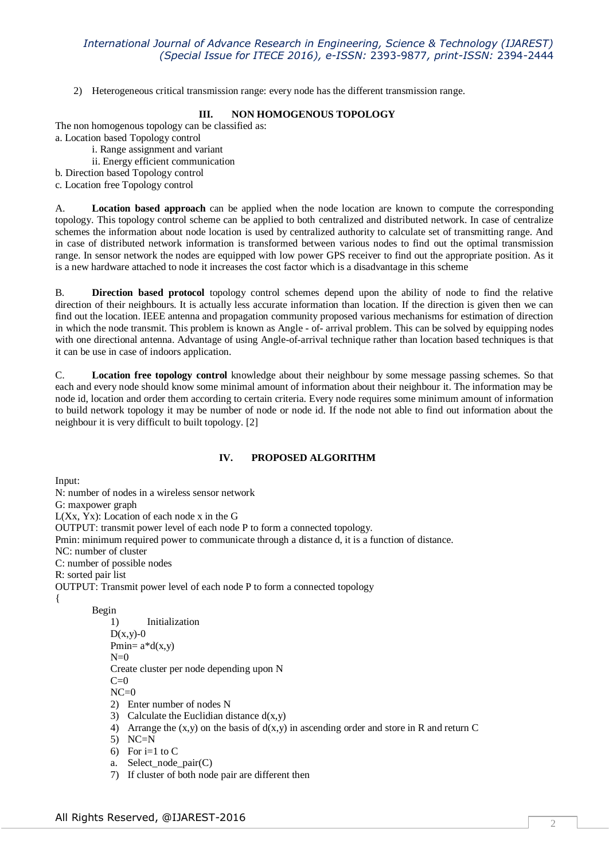## *International Journal of Advance Research in Engineering, Science & Technology (IJAREST) (Special Issue for ITECE 2016), e-ISSN:* 2393-9877*, print-ISSN:* 2394-2444

2) Heterogeneous critical transmission range: every node has the different transmission range.

#### **III. NON HOMOGENOUS TOPOLOGY**

The non homogenous topology can be classified as: a. Location based Topology control

- i. Range assignment and variant
- ii. Energy efficient communication
- b. Direction based Topology control
- c. Location free Topology control

A. **Location based approach** can be applied when the node location are known to compute the corresponding topology. This topology control scheme can be applied to both centralized and distributed network. In case of centralize schemes the information about node location is used by centralized authority to calculate set of transmitting range. And in case of distributed network information is transformed between various nodes to find out the optimal transmission range. In sensor network the nodes are equipped with low power GPS receiver to find out the appropriate position. As it is a new hardware attached to node it increases the cost factor which is a disadvantage in this scheme

B. **Direction based protocol** topology control schemes depend upon the ability of node to find the relative direction of their neighbours. It is actually less accurate information than location. If the direction is given then we can find out the location. IEEE antenna and propagation community proposed various mechanisms for estimation of direction in which the node transmit. This problem is known as Angle - of- arrival problem. This can be solved by equipping nodes with one directional antenna. Advantage of using Angle-of-arrival technique rather than location based techniques is that it can be use in case of indoors application.

C. **Location free topology control** knowledge about their neighbour by some message passing schemes. So that each and every node should know some minimal amount of information about their neighbour it. The information may be node id, location and order them according to certain criteria. Every node requires some minimum amount of information to build network topology it may be number of node or node id. If the node not able to find out information about the neighbour it is very difficult to built topology. [2]

## **IV. PROPOSED ALGORITHM**

Input: N: number of nodes in a wireless sensor network G: maxpower graph L(Xx, Yx): Location of each node x in the G OUTPUT: transmit power level of each node P to form a connected topology. Pmin: minimum required power to communicate through a distance d, it is a function of distance. NC: number of cluster C: number of possible nodes R: sorted pair list OUTPUT: Transmit power level of each node P to form a connected topology { Begin 1) Initialization

 $D(x,y)-0$ Pmin= $a*d(x,y)$  $N=0$ Create cluster per node depending upon N  $C=0$  $NC=0$ 2) Enter number of nodes N 3) Calculate the Euclidian distance  $d(x,y)$ 

- 4) Arrange the  $(x,y)$  on the basis of  $d(x,y)$  in ascending order and store in R and return C
- 5) NC=N
- 6) For i=1 to C
- a. Select\_node\_pair(C)
- 7) If cluster of both node pair are different then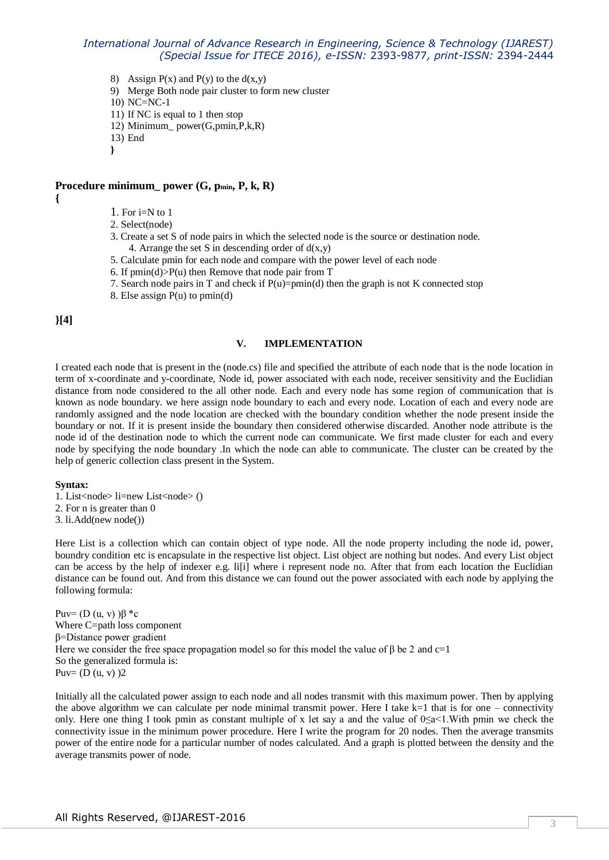## *International Journal of Advance Research in Engineering, Science & Technology (IJAREST) (Special Issue for ITECE 2016), e-ISSN:* 2393-9877*, print-ISSN:* 2394-2444

8) Assign  $P(x)$  and  $P(y)$  to the  $d(x,y)$ 

9) Merge Both node pair cluster to form new cluster

10) NC=NC-1

- 11) If NC is equal to 1 then stop
- 12) Minimum\_ power(G,pmin,P,k,R)

13) End

**}**

# **Procedure minimum\_ power (G, pmin, P, k, R)**

**{**

- 1. For  $i=N$  to 1
- 2. Select(node)
- 3. Create a set S of node pairs in which the selected node is the source or destination node. 4. Arrange the set S in descending order of  $d(x,y)$
- 5. Calculate pmin for each node and compare with the power level of each node
- 6. If  $pmin(d) > P(u)$  then Remove that node pair from T
- 7. Search node pairs in T and check if  $P(u)=pmin(d)$  then the graph is not K connected stop
- 8. Else assign P(u) to pmin(d)

**}[4]**

## **V. IMPLEMENTATION**

I created each node that is present in the (node.cs) file and specified the attribute of each node that is the node location in term of x-coordinate and y-coordinate, Node id, power associated with each node, receiver sensitivity and the Euclidian distance from node considered to the all other node. Each and every node has some region of communication that is known as node boundary. we here assign node boundary to each and every node. Location of each and every node are randomly assigned and the node location are checked with the boundary condition whether the node present inside the boundary or not. If it is present inside the boundary then considered otherwise discarded. Another node attribute is the node id of the destination node to which the current node can communicate. We first made cluster for each and every node by specifying the node boundary .In which the node can able to communicate. The cluster can be created by the help of generic collection class present in the System.

#### **Syntax:**

- 1. List<node> li=new List<node> ()
- 2. For n is greater than 0
- 3. li.Add(new node())

Here List is a collection which can contain object of type node. All the node property including the node id, power, boundry condition etc is encapsulate in the respective list object. List object are nothing but nodes. And every List object can be access by the help of indexer e.g. li[i] where i represent node no. After that from each location the Euclidian distance can be found out. And from this distance we can found out the power associated with each node by applying the following formula:

Puv=  $(D (u, v)) \beta *c$ Where C=path loss component β=Distance power gradient Here we consider the free space propagation model so for this model the value of  $\beta$  be 2 and c=1 So the generalized formula is: Puv=  $(D (u, v))$ 2

Initially all the calculated power assign to each node and all nodes transmit with this maximum power. Then by applying the above algorithm we can calculate per node minimal transmit power. Here I take  $k=1$  that is for one – connectivity only. Here one thing I took pmin as constant multiple of x let say a and the value of  $0\leq a<1$ . With pmin we check the connectivity issue in the minimum power procedure. Here I write the program for 20 nodes. Then the average transmits power of the entire node for a particular number of nodes calculated. And a graph is plotted between the density and the average transmits power of node.